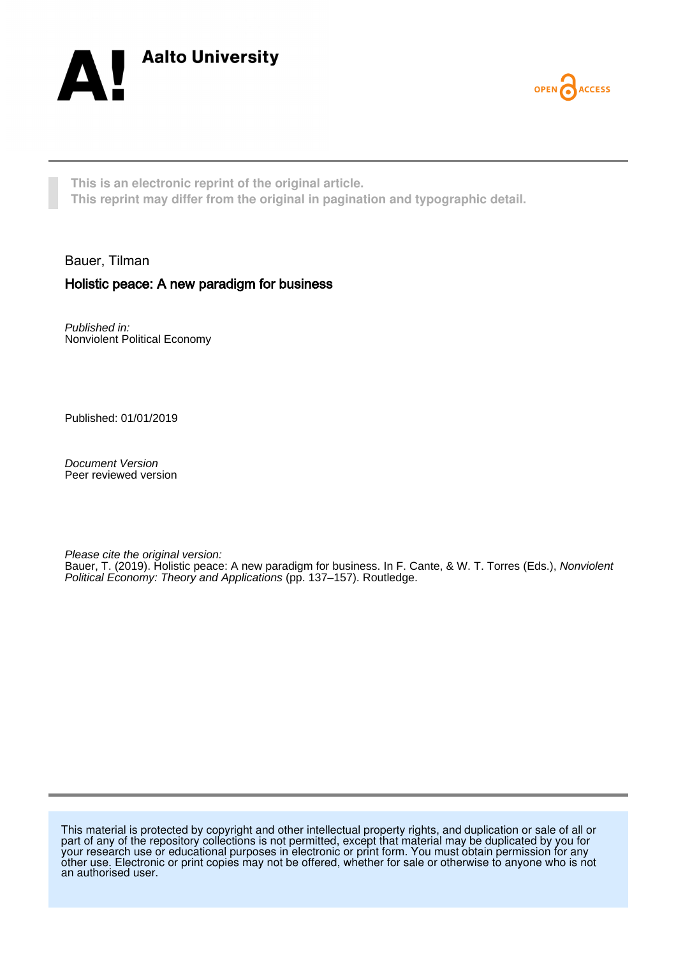



**This is an electronic reprint of the original article. This reprint may differ from the original in pagination and typographic detail.**

Bauer, Tilman

## Holistic peace: A new paradigm for business

Published in: Nonviolent Political Economy

Published: 01/01/2019

Document Version Peer reviewed version

Please cite the original version:

Bauer, T. (2019). Holistic peace: A new paradigm for business. In F. Cante, & W. T. Torres (Eds.), Nonviolent Political Economy: Theory and Applications (pp. 137–157). Routledge.

This material is protected by copyright and other intellectual property rights, and duplication or sale of all or part of any of the repository collections is not permitted, except that material may be duplicated by you for your research use or educational purposes in electronic or print form. You must obtain permission for any other use. Electronic or print copies may not be offered, whether for sale or otherwise to anyone who is not an authorised user.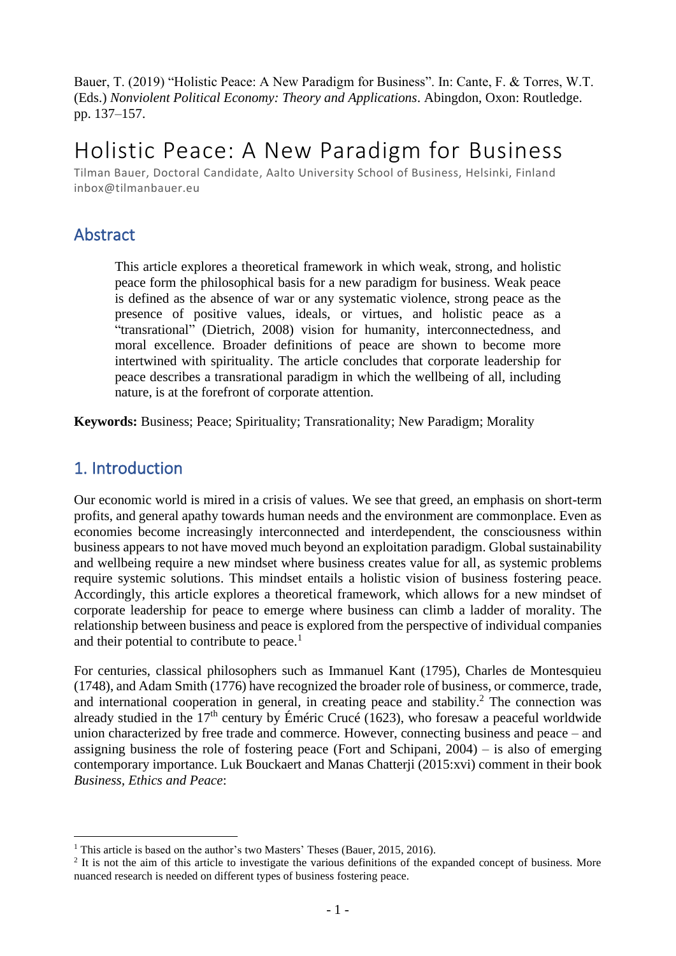Bauer, T. (2019) "Holistic Peace: A New Paradigm for Business". In: Cante, F. & Torres, W.T. (Eds.) *Nonviolent Political Economy: Theory and Applications*. Abingdon, Oxon: Routledge. pp. 137–157.

# Holistic Peace: A New Paradigm for Business

Tilman Bauer, Doctoral Candidate, Aalto University School of Business, Helsinki, Finland inbox@tilmanbauer.eu

# Abstract

This article explores a theoretical framework in which weak, strong, and holistic peace form the philosophical basis for a new paradigm for business. Weak peace is defined as the absence of war or any systematic violence, strong peace as the presence of positive values, ideals, or virtues, and holistic peace as a "transrational" (Dietrich, 2008) vision for humanity, interconnectedness, and moral excellence. Broader definitions of peace are shown to become more intertwined with spirituality. The article concludes that corporate leadership for peace describes a transrational paradigm in which the wellbeing of all, including nature, is at the forefront of corporate attention.

**Keywords:** Business; Peace; Spirituality; Transrationality; New Paradigm; Morality

# 1. Introduction

Our economic world is mired in a crisis of values. We see that greed, an emphasis on short-term profits, and general apathy towards human needs and the environment are commonplace. Even as economies become increasingly interconnected and interdependent, the consciousness within business appears to not have moved much beyond an exploitation paradigm. Global sustainability and wellbeing require a new mindset where business creates value for all, as systemic problems require systemic solutions. This mindset entails a holistic vision of business fostering peace. Accordingly, this article explores a theoretical framework, which allows for a new mindset of corporate leadership for peace to emerge where business can climb a ladder of morality. The relationship between business and peace is explored from the perspective of individual companies and their potential to contribute to peace.<sup>1</sup>

For centuries, classical philosophers such as Immanuel Kant (1795), Charles de Montesquieu (1748), and Adam Smith (1776) have recognized the broader role of business, or commerce, trade, and international cooperation in general, in creating peace and stability. <sup>2</sup> The connection was already studied in the  $17<sup>th</sup>$  century by Éméric Crucé (1623), who foresaw a peaceful worldwide union characterized by free trade and commerce. However, connecting business and peace – and assigning business the role of fostering peace (Fort and Schipani, 2004) – is also of emerging contemporary importance. Luk Bouckaert and Manas Chatterji (2015:xvi) comment in their book *Business, Ethics and Peace*:

<sup>&</sup>lt;sup>1</sup> This article is based on the author's two Masters' Theses (Bauer, 2015, 2016).

 $2$  It is not the aim of this article to investigate the various definitions of the expanded concept of business. More nuanced research is needed on different types of business fostering peace.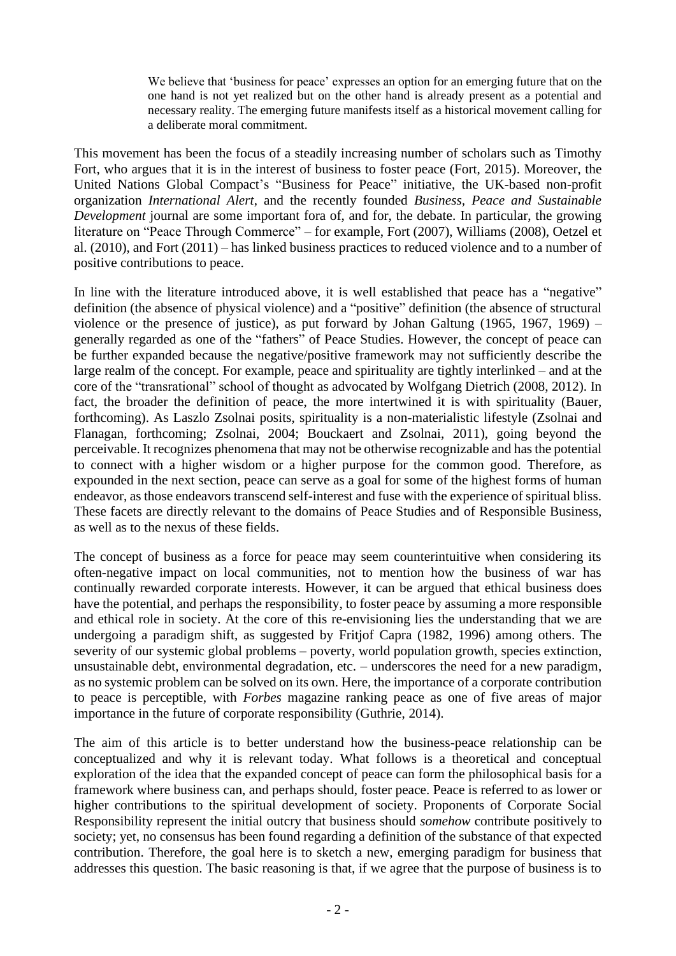We believe that 'business for peace' expresses an option for an emerging future that on the one hand is not yet realized but on the other hand is already present as a potential and necessary reality. The emerging future manifests itself as a historical movement calling for a deliberate moral commitment.

This movement has been the focus of a steadily increasing number of scholars such as Timothy Fort, who argues that it is in the interest of business to foster peace (Fort, 2015). Moreover, the United Nations Global Compact's "Business for Peace" initiative, the UK-based non-profit organization *International Alert*, and the recently founded *Business, Peace and Sustainable Development* journal are some important fora of, and for, the debate. In particular, the growing literature on "Peace Through Commerce" – for example, Fort (2007), Williams (2008), Oetzel et al. (2010), and Fort (2011) – has linked business practices to reduced violence and to a number of positive contributions to peace.

In line with the literature introduced above, it is well established that peace has a "negative" definition (the absence of physical violence) and a "positive" definition (the absence of structural violence or the presence of justice), as put forward by Johan Galtung (1965, 1967, 1969) – generally regarded as one of the "fathers" of Peace Studies. However, the concept of peace can be further expanded because the negative/positive framework may not sufficiently describe the large realm of the concept. For example, peace and spirituality are tightly interlinked – and at the core of the "transrational" school of thought as advocated by Wolfgang Dietrich (2008, 2012). In fact, the broader the definition of peace, the more intertwined it is with spirituality (Bauer, forthcoming). As Laszlo Zsolnai posits, spirituality is a non-materialistic lifestyle (Zsolnai and Flanagan, forthcoming; Zsolnai, 2004; Bouckaert and Zsolnai, 2011), going beyond the perceivable. It recognizes phenomena that may not be otherwise recognizable and has the potential to connect with a higher wisdom or a higher purpose for the common good. Therefore, as expounded in the next section, peace can serve as a goal for some of the highest forms of human endeavor, as those endeavors transcend self-interest and fuse with the experience of spiritual bliss. These facets are directly relevant to the domains of Peace Studies and of Responsible Business, as well as to the nexus of these fields.

The concept of business as a force for peace may seem counterintuitive when considering its often-negative impact on local communities, not to mention how the business of war has continually rewarded corporate interests. However, it can be argued that ethical business does have the potential, and perhaps the responsibility, to foster peace by assuming a more responsible and ethical role in society. At the core of this re-envisioning lies the understanding that we are undergoing a paradigm shift, as suggested by Fritjof Capra (1982, 1996) among others. The severity of our systemic global problems – poverty, world population growth, species extinction, unsustainable debt, environmental degradation, etc. – underscores the need for a new paradigm, as no systemic problem can be solved on its own. Here, the importance of a corporate contribution to peace is perceptible, with *Forbes* magazine ranking peace as one of five areas of major importance in the future of corporate responsibility (Guthrie, 2014).

The aim of this article is to better understand how the business-peace relationship can be conceptualized and why it is relevant today. What follows is a theoretical and conceptual exploration of the idea that the expanded concept of peace can form the philosophical basis for a framework where business can, and perhaps should, foster peace. Peace is referred to as lower or higher contributions to the spiritual development of society. Proponents of Corporate Social Responsibility represent the initial outcry that business should *somehow* contribute positively to society; yet, no consensus has been found regarding a definition of the substance of that expected contribution. Therefore, the goal here is to sketch a new, emerging paradigm for business that addresses this question. The basic reasoning is that, if we agree that the purpose of business is to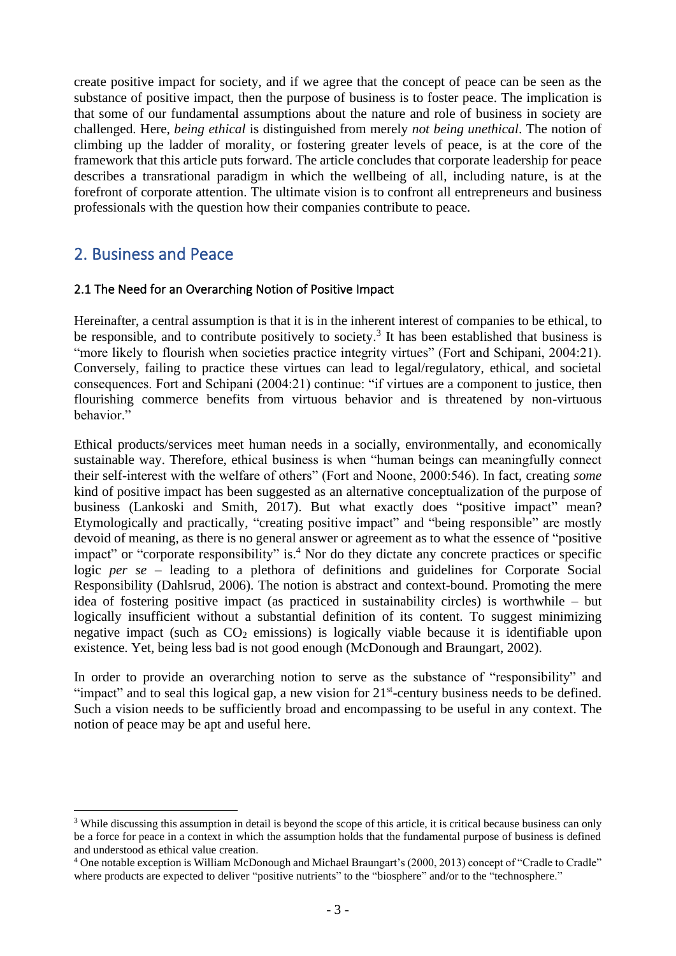create positive impact for society, and if we agree that the concept of peace can be seen as the substance of positive impact, then the purpose of business is to foster peace. The implication is that some of our fundamental assumptions about the nature and role of business in society are challenged. Here, *being ethical* is distinguished from merely *not being unethical*. The notion of climbing up the ladder of morality, or fostering greater levels of peace, is at the core of the framework that this article puts forward. The article concludes that corporate leadership for peace describes a transrational paradigm in which the wellbeing of all, including nature, is at the forefront of corporate attention. The ultimate vision is to confront all entrepreneurs and business professionals with the question how their companies contribute to peace.

# 2. Business and Peace

## 2.1 The Need for an Overarching Notion of Positive Impact

Hereinafter, a central assumption is that it is in the inherent interest of companies to be ethical, to be responsible, and to contribute positively to society.<sup>3</sup> It has been established that business is "more likely to flourish when societies practice integrity virtues" (Fort and Schipani, 2004:21). Conversely, failing to practice these virtues can lead to legal/regulatory, ethical, and societal consequences. Fort and Schipani (2004:21) continue: "if virtues are a component to justice, then flourishing commerce benefits from virtuous behavior and is threatened by non-virtuous behavior."

Ethical products/services meet human needs in a socially, environmentally, and economically sustainable way. Therefore, ethical business is when "human beings can meaningfully connect their self-interest with the welfare of others" (Fort and Noone, 2000:546). In fact, creating *some* kind of positive impact has been suggested as an alternative conceptualization of the purpose of business (Lankoski and Smith, 2017). But what exactly does "positive impact" mean? Etymologically and practically, "creating positive impact" and "being responsible" are mostly devoid of meaning, as there is no general answer or agreement as to what the essence of "positive impact" or "corporate responsibility" is.<sup>4</sup> Nor do they dictate any concrete practices or specific logic *per se* – leading to a plethora of definitions and guidelines for Corporate Social Responsibility (Dahlsrud, 2006). The notion is abstract and context-bound. Promoting the mere idea of fostering positive impact (as practiced in sustainability circles) is worthwhile – but logically insufficient without a substantial definition of its content. To suggest minimizing negative impact (such as  $CO<sub>2</sub>$  emissions) is logically viable because it is identifiable upon existence. Yet, being less bad is not good enough (McDonough and Braungart, 2002).

In order to provide an overarching notion to serve as the substance of "responsibility" and "impact" and to seal this logical gap, a new vision for 21<sup>st</sup>-century business needs to be defined. Such a vision needs to be sufficiently broad and encompassing to be useful in any context. The notion of peace may be apt and useful here.

<sup>&</sup>lt;sup>3</sup> While discussing this assumption in detail is beyond the scope of this article, it is critical because business can only be a force for peace in a context in which the assumption holds that the fundamental purpose of business is defined and understood as ethical value creation.

<sup>4</sup> One notable exception is William McDonough and Michael Braungart's (2000, 2013) concept of "Cradle to Cradle" where products are expected to deliver "positive nutrients" to the "biosphere" and/or to the "technosphere."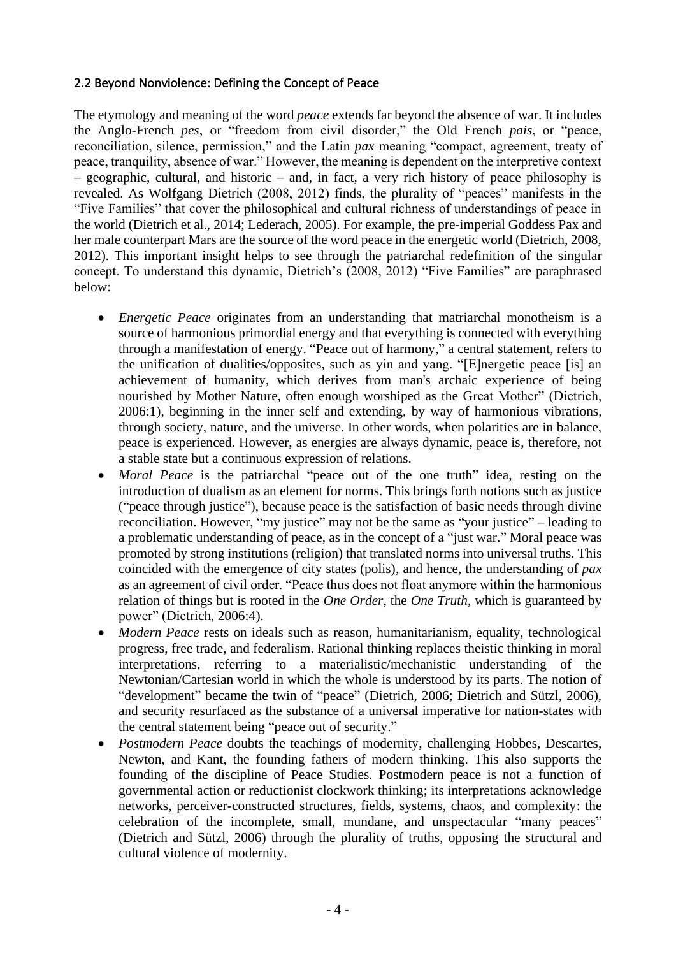## 2.2 Beyond Nonviolence: Defining the Concept of Peace

The etymology and meaning of the word *peace* extends far beyond the absence of war. It includes the Anglo-French *pes*, or "freedom from civil disorder," the Old French *pais*, or "peace, reconciliation, silence, permission," and the Latin *pax* meaning "compact, agreement, treaty of peace, tranquility, absence of war." However, the meaning is dependent on the interpretive context – geographic, cultural, and historic – and, in fact, a very rich history of peace philosophy is revealed. As Wolfgang Dietrich (2008, 2012) finds, the plurality of "peaces" manifests in the "Five Families" that cover the philosophical and cultural richness of understandings of peace in the world (Dietrich et al., 2014; Lederach, 2005). For example, the pre-imperial Goddess Pax and her male counterpart Mars are the source of the word peace in the energetic world (Dietrich, 2008, 2012). This important insight helps to see through the patriarchal redefinition of the singular concept. To understand this dynamic, Dietrich's (2008, 2012) "Five Families" are paraphrased below:

- *Energetic Peace* originates from an understanding that matriarchal monotheism is a source of harmonious primordial energy and that everything is connected with everything through a manifestation of energy. "Peace out of harmony," a central statement, refers to the unification of dualities/opposites, such as yin and yang. "[E]nergetic peace [is] an achievement of humanity, which derives from man's archaic experience of being nourished by Mother Nature, often enough worshiped as the Great Mother" (Dietrich, 2006:1), beginning in the inner self and extending, by way of harmonious vibrations, through society, nature, and the universe. In other words, when polarities are in balance, peace is experienced. However, as energies are always dynamic, peace is, therefore, not a stable state but a continuous expression of relations.
- *Moral Peace* is the patriarchal "peace out of the one truth" idea, resting on the introduction of dualism as an element for norms. This brings forth notions such as justice ("peace through justice"), because peace is the satisfaction of basic needs through divine reconciliation. However, "my justice" may not be the same as "your justice" – leading to a problematic understanding of peace, as in the concept of a "just war." Moral peace was promoted by strong institutions (religion) that translated norms into universal truths. This coincided with the emergence of city states (polis), and hence, the understanding of *pax* as an agreement of civil order. "Peace thus does not float anymore within the harmonious relation of things but is rooted in the *One Order*, the *One Truth*, which is guaranteed by power" (Dietrich, 2006:4).
- *Modern Peace* rests on ideals such as reason, humanitarianism, equality, technological progress, free trade, and federalism. Rational thinking replaces theistic thinking in moral interpretations, referring to a materialistic/mechanistic understanding of the Newtonian/Cartesian world in which the whole is understood by its parts. The notion of "development" became the twin of "peace" (Dietrich, 2006; Dietrich and Sützl, 2006), and security resurfaced as the substance of a universal imperative for nation-states with the central statement being "peace out of security."
- *Postmodern Peace* doubts the teachings of modernity, challenging Hobbes, Descartes, Newton, and Kant, the founding fathers of modern thinking. This also supports the founding of the discipline of Peace Studies. Postmodern peace is not a function of governmental action or reductionist clockwork thinking; its interpretations acknowledge networks, perceiver-constructed structures, fields, systems, chaos, and complexity: the celebration of the incomplete, small, mundane, and unspectacular "many peaces" (Dietrich and Sützl, 2006) through the plurality of truths, opposing the structural and cultural violence of modernity.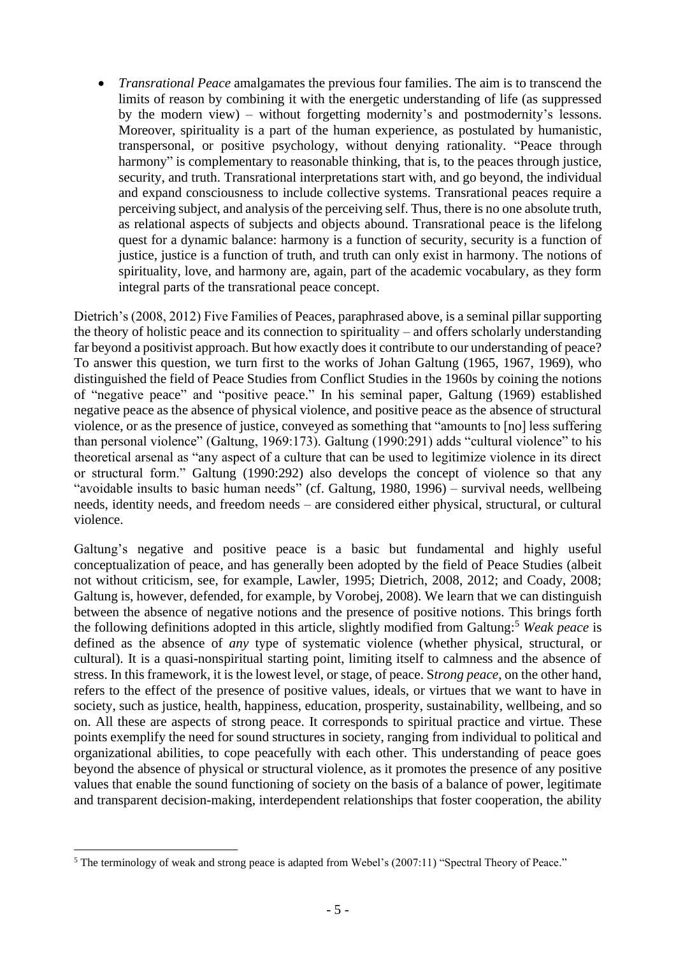• *Transrational Peace* amalgamates the previous four families. The aim is to transcend the limits of reason by combining it with the energetic understanding of life (as suppressed by the modern view) – without forgetting modernity's and postmodernity's lessons. Moreover, spirituality is a part of the human experience, as postulated by humanistic, transpersonal, or positive psychology, without denying rationality. "Peace through harmony" is complementary to reasonable thinking, that is, to the peaces through justice, security, and truth. Transrational interpretations start with, and go beyond, the individual and expand consciousness to include collective systems. Transrational peaces require a perceiving subject, and analysis of the perceiving self. Thus, there is no one absolute truth, as relational aspects of subjects and objects abound. Transrational peace is the lifelong quest for a dynamic balance: harmony is a function of security, security is a function of justice, justice is a function of truth, and truth can only exist in harmony. The notions of spirituality, love, and harmony are, again, part of the academic vocabulary, as they form integral parts of the transrational peace concept.

Dietrich's (2008, 2012) Five Families of Peaces, paraphrased above, is a seminal pillar supporting the theory of holistic peace and its connection to spirituality – and offers scholarly understanding far beyond a positivist approach. But how exactly does it contribute to our understanding of peace? To answer this question, we turn first to the works of Johan Galtung (1965, 1967, 1969), who distinguished the field of Peace Studies from Conflict Studies in the 1960s by coining the notions of "negative peace" and "positive peace." In his seminal paper, Galtung (1969) established negative peace as the absence of physical violence, and positive peace as the absence of structural violence, or as the presence of justice, conveyed as something that "amounts to [no] less suffering than personal violence" (Galtung, 1969:173). Galtung (1990:291) adds "cultural violence" to his theoretical arsenal as "any aspect of a culture that can be used to legitimize violence in its direct or structural form." Galtung (1990:292) also develops the concept of violence so that any "avoidable insults to basic human needs" (cf. Galtung, 1980, 1996) – survival needs, wellbeing needs, identity needs, and freedom needs – are considered either physical, structural, or cultural violence.

Galtung's negative and positive peace is a basic but fundamental and highly useful conceptualization of peace, and has generally been adopted by the field of Peace Studies (albeit not without criticism, see, for example, Lawler, 1995; Dietrich, 2008, 2012; and Coady, 2008; Galtung is, however, defended, for example, by Vorobej, 2008). We learn that we can distinguish between the absence of negative notions and the presence of positive notions. This brings forth the following definitions adopted in this article, slightly modified from Galtung:<sup>5</sup> *Weak peace* is defined as the absence of *any* type of systematic violence (whether physical, structural, or cultural). It is a quasi-nonspiritual starting point, limiting itself to calmness and the absence of stress. In this framework, it is the lowest level, or stage, of peace. S*trong peace*, on the other hand, refers to the effect of the presence of positive values, ideals, or virtues that we want to have in society, such as justice, health, happiness, education, prosperity, sustainability, wellbeing, and so on. All these are aspects of strong peace. It corresponds to spiritual practice and virtue. These points exemplify the need for sound structures in society, ranging from individual to political and organizational abilities, to cope peacefully with each other. This understanding of peace goes beyond the absence of physical or structural violence, as it promotes the presence of any positive values that enable the sound functioning of society on the basis of a balance of power, legitimate and transparent decision-making, interdependent relationships that foster cooperation, the ability

<sup>&</sup>lt;sup>5</sup> The terminology of weak and strong peace is adapted from Webel's (2007:11) "Spectral Theory of Peace."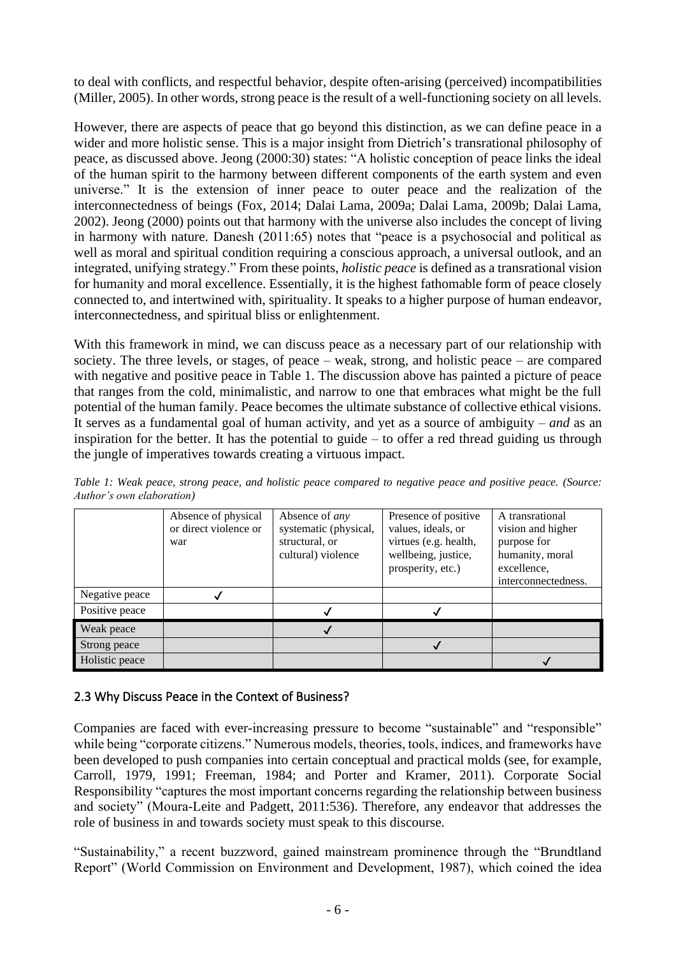to deal with conflicts, and respectful behavior, despite often-arising (perceived) incompatibilities (Miller, 2005). In other words, strong peace is the result of a well-functioning society on all levels.

However, there are aspects of peace that go beyond this distinction, as we can define peace in a wider and more holistic sense. This is a major insight from Dietrich's transrational philosophy of peace, as discussed above. Jeong (2000:30) states: "A holistic conception of peace links the ideal of the human spirit to the harmony between different components of the earth system and even universe." It is the extension of inner peace to outer peace and the realization of the interconnectedness of beings (Fox, 2014; Dalai Lama, 2009a; Dalai Lama, 2009b; Dalai Lama, 2002). Jeong (2000) points out that harmony with the universe also includes the concept of living in harmony with nature. Danesh (2011:65) notes that "peace is a psychosocial and political as well as moral and spiritual condition requiring a conscious approach, a universal outlook, and an integrated, unifying strategy." From these points, *holistic peace* is defined as a transrational vision for humanity and moral excellence. Essentially, it is the highest fathomable form of peace closely connected to, and intertwined with, spirituality. It speaks to a higher purpose of human endeavor, interconnectedness, and spiritual bliss or enlightenment.

With this framework in mind, we can discuss peace as a necessary part of our relationship with society. The three levels, or stages, of peace – weak, strong, and holistic peace – are compared with negative and positive peace in Table 1. The discussion above has painted a picture of peace that ranges from the cold, minimalistic, and narrow to one that embraces what might be the full potential of the human family. Peace becomes the ultimate substance of collective ethical visions. It serves as a fundamental goal of human activity, and yet as a source of ambiguity – *and* as an inspiration for the better. It has the potential to guide – to offer a red thread guiding us through the jungle of imperatives towards creating a virtuous impact.

|                                   |  |  |  | Table 1: Weak peace, strong peace, and holistic peace compared to negative peace and positive peace. (Source: |  |  |  |  |
|-----------------------------------|--|--|--|---------------------------------------------------------------------------------------------------------------|--|--|--|--|
| <i>Author's own elaboration</i> ) |  |  |  |                                                                                                               |  |  |  |  |

|                | Absence of physical<br>or direct violence or<br>war | Absence of any<br>systematic (physical,<br>structural, or<br>cultural) violence | Presence of positive<br>values, ideals, or<br>virtues (e.g. health,<br>wellbeing, justice,<br>prosperity, etc.) | A transrational<br>vision and higher<br>purpose for<br>humanity, moral<br>excellence,<br>interconnectedness. |
|----------------|-----------------------------------------------------|---------------------------------------------------------------------------------|-----------------------------------------------------------------------------------------------------------------|--------------------------------------------------------------------------------------------------------------|
| Negative peace |                                                     |                                                                                 |                                                                                                                 |                                                                                                              |
| Positive peace |                                                     |                                                                                 |                                                                                                                 |                                                                                                              |
| Weak peace     |                                                     |                                                                                 |                                                                                                                 |                                                                                                              |
| Strong peace   |                                                     |                                                                                 |                                                                                                                 |                                                                                                              |
| Holistic peace |                                                     |                                                                                 |                                                                                                                 |                                                                                                              |

## 2.3 Why Discuss Peace in the Context of Business?

Companies are faced with ever-increasing pressure to become "sustainable" and "responsible" while being "corporate citizens." Numerous models, theories, tools, indices, and frameworks have been developed to push companies into certain conceptual and practical molds (see, for example, Carroll, 1979, 1991; Freeman, 1984; and Porter and Kramer, 2011). Corporate Social Responsibility "captures the most important concerns regarding the relationship between business and society" (Moura-Leite and Padgett, 2011:536). Therefore, any endeavor that addresses the role of business in and towards society must speak to this discourse.

"Sustainability," a recent buzzword, gained mainstream prominence through the "Brundtland Report" (World Commission on Environment and Development, 1987), which coined the idea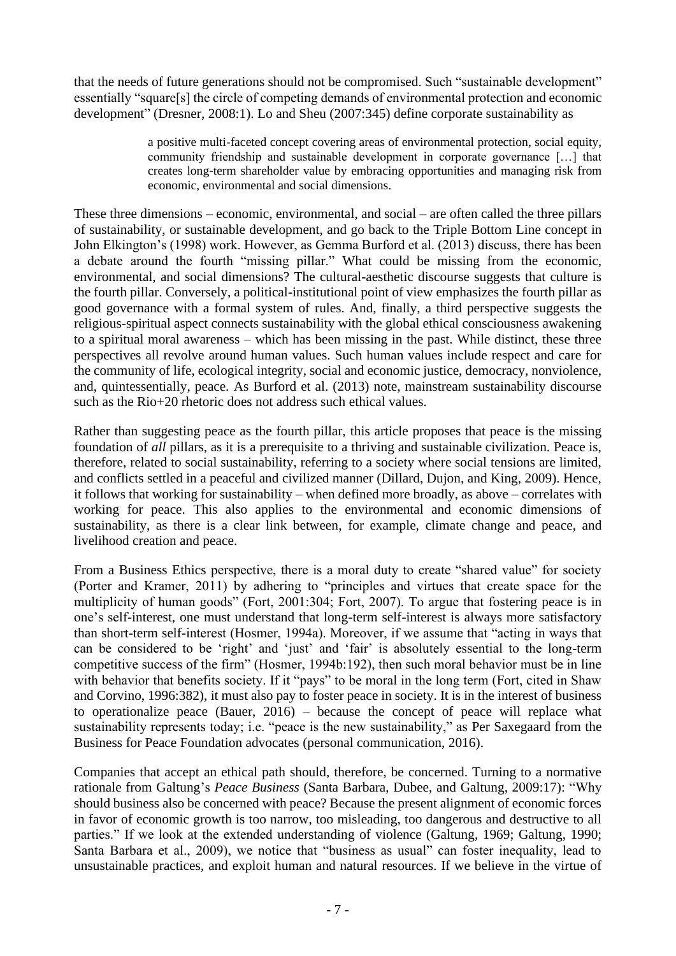that the needs of future generations should not be compromised. Such "sustainable development" essentially "square[s] the circle of competing demands of environmental protection and economic development" (Dresner, 2008:1). Lo and Sheu (2007:345) define corporate sustainability as

> a positive multi-faceted concept covering areas of environmental protection, social equity, community friendship and sustainable development in corporate governance […] that creates long-term shareholder value by embracing opportunities and managing risk from economic, environmental and social dimensions.

These three dimensions – economic, environmental, and social – are often called the three pillars of sustainability, or sustainable development, and go back to the Triple Bottom Line concept in John Elkington's (1998) work. However, as Gemma Burford et al. (2013) discuss, there has been a debate around the fourth "missing pillar." What could be missing from the economic, environmental, and social dimensions? The cultural-aesthetic discourse suggests that culture is the fourth pillar. Conversely, a political-institutional point of view emphasizes the fourth pillar as good governance with a formal system of rules. And, finally, a third perspective suggests the religious-spiritual aspect connects sustainability with the global ethical consciousness awakening to a spiritual moral awareness – which has been missing in the past. While distinct, these three perspectives all revolve around human values. Such human values include respect and care for the community of life, ecological integrity, social and economic justice, democracy, nonviolence, and, quintessentially, peace. As Burford et al. (2013) note, mainstream sustainability discourse such as the Rio+20 rhetoric does not address such ethical values.

Rather than suggesting peace as the fourth pillar, this article proposes that peace is the missing foundation of *all* pillars, as it is a prerequisite to a thriving and sustainable civilization. Peace is, therefore, related to social sustainability, referring to a society where social tensions are limited, and conflicts settled in a peaceful and civilized manner (Dillard, Dujon, and King, 2009). Hence, it follows that working for sustainability – when defined more broadly, as above – correlates with working for peace. This also applies to the environmental and economic dimensions of sustainability, as there is a clear link between, for example, climate change and peace, and livelihood creation and peace.

From a Business Ethics perspective, there is a moral duty to create "shared value" for society (Porter and Kramer, 2011) by adhering to "principles and virtues that create space for the multiplicity of human goods" (Fort, 2001:304; Fort, 2007). To argue that fostering peace is in one's self-interest, one must understand that long-term self-interest is always more satisfactory than short-term self-interest (Hosmer, 1994a). Moreover, if we assume that "acting in ways that can be considered to be 'right' and 'just' and 'fair' is absolutely essential to the long-term competitive success of the firm" (Hosmer, 1994b:192), then such moral behavior must be in line with behavior that benefits society. If it "pays" to be moral in the long term (Fort, cited in Shaw and Corvino, 1996:382), it must also pay to foster peace in society. It is in the interest of business to operationalize peace (Bauer, 2016) – because the concept of peace will replace what sustainability represents today; i.e. "peace is the new sustainability," as Per Saxegaard from the Business for Peace Foundation advocates (personal communication, 2016).

Companies that accept an ethical path should, therefore, be concerned. Turning to a normative rationale from Galtung's *Peace Business* (Santa Barbara, Dubee, and Galtung, 2009:17): "Why should business also be concerned with peace? Because the present alignment of economic forces in favor of economic growth is too narrow, too misleading, too dangerous and destructive to all parties." If we look at the extended understanding of violence (Galtung, 1969; Galtung, 1990; Santa Barbara et al., 2009), we notice that "business as usual" can foster inequality, lead to unsustainable practices, and exploit human and natural resources. If we believe in the virtue of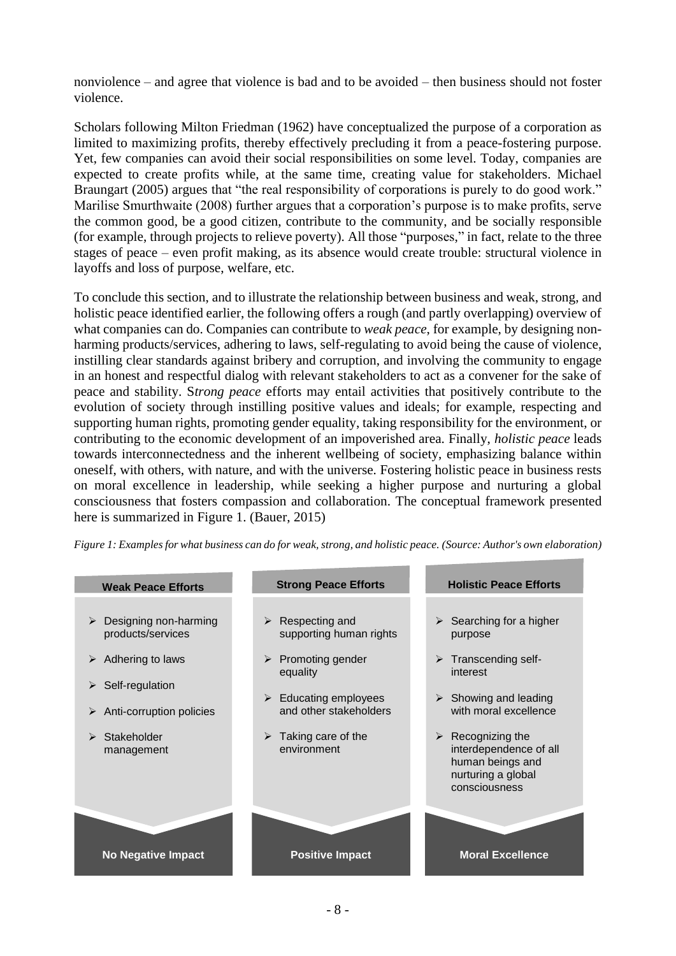nonviolence – and agree that violence is bad and to be avoided – then business should not foster violence.

Scholars following Milton Friedman (1962) have conceptualized the purpose of a corporation as limited to maximizing profits, thereby effectively precluding it from a peace-fostering purpose. Yet, few companies can avoid their social responsibilities on some level. Today, companies are expected to create profits while, at the same time, creating value for stakeholders. Michael Braungart (2005) argues that "the real responsibility of corporations is purely to do good work." Marilise Smurthwaite (2008) further argues that a corporation's purpose is to make profits, serve the common good, be a good citizen, contribute to the community, and be socially responsible (for example, through projects to relieve poverty). All those "purposes," in fact, relate to the three stages of peace – even profit making, as its absence would create trouble: structural violence in layoffs and loss of purpose, welfare, etc.

To conclude this section, and to illustrate the relationship between business and weak, strong, and holistic peace identified earlier, the following offers a rough (and partly overlapping) overview of what companies can do. Companies can contribute to *weak peace*, for example, by designing nonharming products/services, adhering to laws, self-regulating to avoid being the cause of violence, instilling clear standards against bribery and corruption, and involving the community to engage in an honest and respectful dialog with relevant stakeholders to act as a convener for the sake of peace and stability. S*trong peace* efforts may entail activities that positively contribute to the evolution of society through instilling positive values and ideals; for example, respecting and supporting human rights, promoting gender equality, taking responsibility for the environment, or contributing to the economic development of an impoverished area. Finally, *holistic peace* leads towards interconnectedness and the inherent wellbeing of society, emphasizing balance within oneself, with others, with nature, and with the universe. Fostering holistic peace in business rests on moral excellence in leadership, while seeking a higher purpose and nurturing a global consciousness that fosters compassion and collaboration. The conceptual framework presented here is summarized in Figure 1. (Bauer, 2015)

Figure 1: Examples for what business can do for weak, strong, and holistic peace. (Source: Author's own elaboration)

#### **Weak Peace Efforts Strong Peace Efforts Holistic Peace Efforts** ➢ Respecting and supporting human rights ➢ Promoting gender equality  $\triangleright$  Educating employees and other stakeholders  $\triangleright$  Taking care of the environment ➢ Designing non-harming products/services  $\triangleright$  Adhering to laws ➢ Self-regulation ➢ Anti-corruption policies ➢ Stakeholder management  $\triangleright$  Searching for a higher purpose ➢ Transcending selfinterest  $\triangleright$  Showing and leading with moral excellence  $\triangleright$  Recognizing the interdependence of all human beings and nurturing a global consciousness **No Negative Impact Positive Impact Moral Excellence**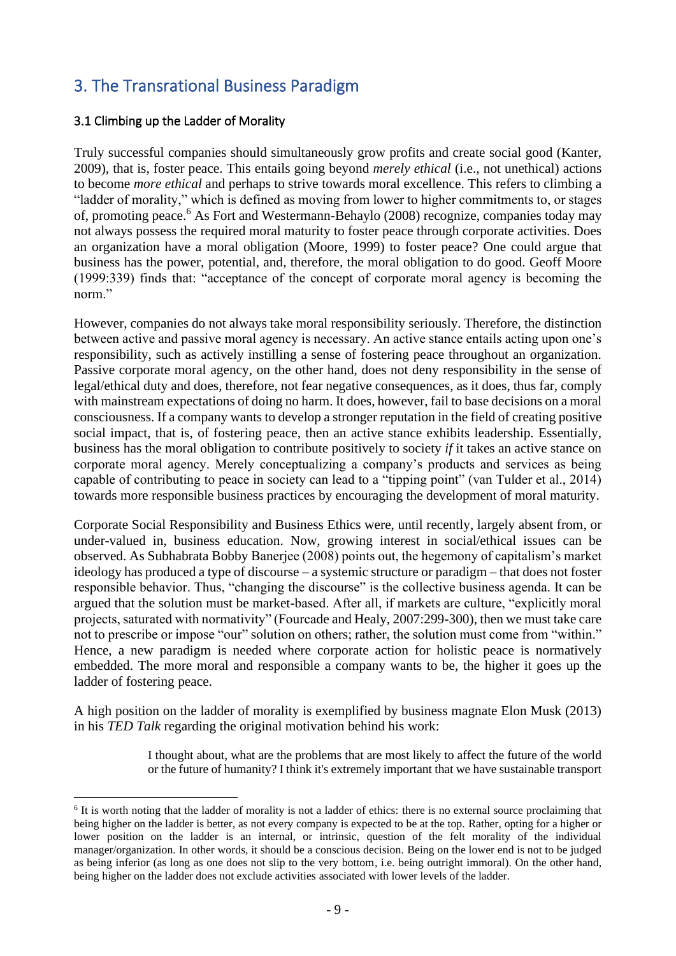# 3. The Transrational Business Paradigm

## 3.1 Climbing up the Ladder of Morality

Truly successful companies should simultaneously grow profits and create social good (Kanter, 2009), that is, foster peace. This entails going beyond *merely ethical* (i.e., not unethical) actions to become *more ethical* and perhaps to strive towards moral excellence. This refers to climbing a "ladder of morality," which is defined as moving from lower to higher commitments to, or stages of, promoting peace.<sup>6</sup> As Fort and Westermann-Behaylo (2008) recognize, companies today may not always possess the required moral maturity to foster peace through corporate activities. Does an organization have a moral obligation (Moore, 1999) to foster peace? One could argue that business has the power, potential, and, therefore, the moral obligation to do good. Geoff Moore (1999:339) finds that: "acceptance of the concept of corporate moral agency is becoming the norm."

However, companies do not always take moral responsibility seriously. Therefore, the distinction between active and passive moral agency is necessary. An active stance entails acting upon one's responsibility, such as actively instilling a sense of fostering peace throughout an organization. Passive corporate moral agency, on the other hand, does not deny responsibility in the sense of legal/ethical duty and does, therefore, not fear negative consequences, as it does, thus far, comply with mainstream expectations of doing no harm. It does, however, fail to base decisions on a moral consciousness. If a company wants to develop a stronger reputation in the field of creating positive social impact, that is, of fostering peace, then an active stance exhibits leadership. Essentially, business has the moral obligation to contribute positively to society *if* it takes an active stance on corporate moral agency. Merely conceptualizing a company's products and services as being capable of contributing to peace in society can lead to a "tipping point" (van Tulder et al., 2014) towards more responsible business practices by encouraging the development of moral maturity.

Corporate Social Responsibility and Business Ethics were, until recently, largely absent from, or under-valued in, business education. Now, growing interest in social/ethical issues can be observed. As Subhabrata Bobby Banerjee (2008) points out, the hegemony of capitalism's market ideology has produced a type of discourse – a systemic structure or paradigm – that does not foster responsible behavior. Thus, "changing the discourse" is the collective business agenda. It can be argued that the solution must be market-based. After all, if markets are culture, "explicitly moral projects, saturated with normativity" (Fourcade and Healy, 2007:299-300), then we must take care not to prescribe or impose "our" solution on others; rather, the solution must come from "within." Hence, a new paradigm is needed where corporate action for holistic peace is normatively embedded. The more moral and responsible a company wants to be, the higher it goes up the ladder of fostering peace.

A high position on the ladder of morality is exemplified by business magnate Elon Musk (2013) in his *TED Talk* regarding the original motivation behind his work:

> I thought about, what are the problems that are most likely to affect the future of the world or the future of humanity? I think it's extremely important that we have sustainable transport

<sup>&</sup>lt;sup>6</sup> It is worth noting that the ladder of morality is not a ladder of ethics: there is no external source proclaiming that being higher on the ladder is better, as not every company is expected to be at the top. Rather, opting for a higher or lower position on the ladder is an internal, or intrinsic, question of the felt morality of the individual manager/organization. In other words, it should be a conscious decision. Being on the lower end is not to be judged as being inferior (as long as one does not slip to the very bottom, i.e. being outright immoral). On the other hand, being higher on the ladder does not exclude activities associated with lower levels of the ladder.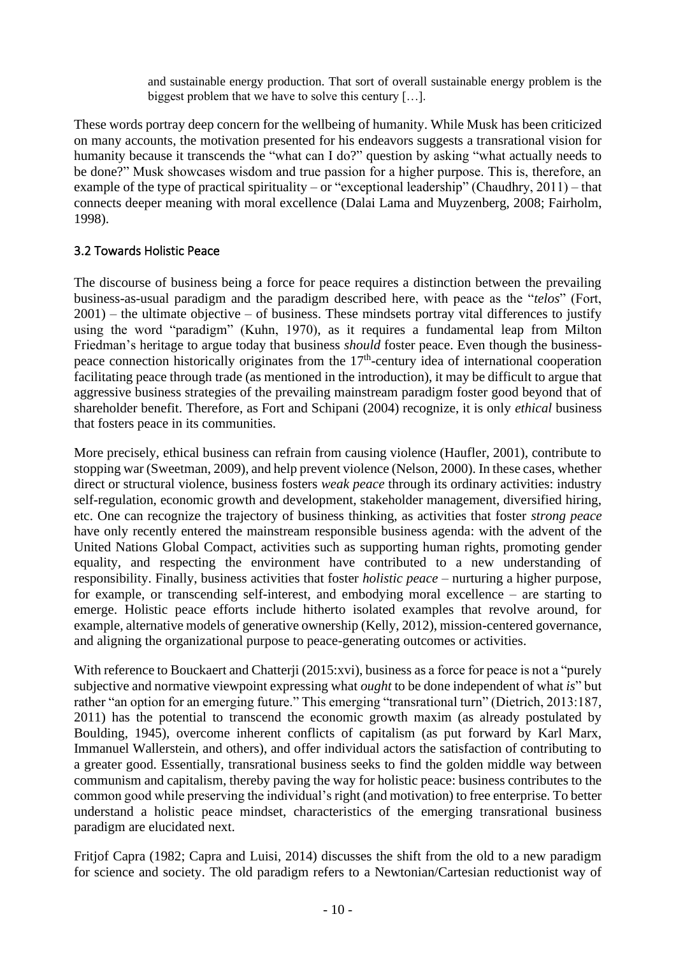and sustainable energy production. That sort of overall sustainable energy problem is the biggest problem that we have to solve this century […].

These words portray deep concern for the wellbeing of humanity. While Musk has been criticized on many accounts, the motivation presented for his endeavors suggests a transrational vision for humanity because it transcends the "what can I do?" question by asking "what actually needs to be done?" Musk showcases wisdom and true passion for a higher purpose. This is, therefore, an example of the type of practical spirituality – or "exceptional leadership" (Chaudhry,  $2011$ ) – that connects deeper meaning with moral excellence (Dalai Lama and Muyzenberg, 2008; Fairholm, 1998).

## 3.2 Towards Holistic Peace

The discourse of business being a force for peace requires a distinction between the prevailing business-as-usual paradigm and the paradigm described here, with peace as the "*telos*" (Fort,  $2001$ ) – the ultimate objective – of business. These mindsets portray vital differences to justify using the word "paradigm" (Kuhn, 1970), as it requires a fundamental leap from Milton Friedman's heritage to argue today that business *should* foster peace. Even though the businesspeace connection historically originates from the 17<sup>th</sup>-century idea of international cooperation facilitating peace through trade (as mentioned in the introduction), it may be difficult to argue that aggressive business strategies of the prevailing mainstream paradigm foster good beyond that of shareholder benefit. Therefore, as Fort and Schipani (2004) recognize, it is only *ethical* business that fosters peace in its communities.

More precisely, ethical business can refrain from causing violence (Haufler, 2001), contribute to stopping war (Sweetman, 2009), and help prevent violence (Nelson, 2000). In these cases, whether direct or structural violence, business fosters *weak peace* through its ordinary activities: industry self-regulation, economic growth and development, stakeholder management, diversified hiring, etc. One can recognize the trajectory of business thinking, as activities that foster *strong peace* have only recently entered the mainstream responsible business agenda: with the advent of the United Nations Global Compact, activities such as supporting human rights, promoting gender equality, and respecting the environment have contributed to a new understanding of responsibility. Finally, business activities that foster *holistic peace* – nurturing a higher purpose, for example, or transcending self-interest, and embodying moral excellence – are starting to emerge. Holistic peace efforts include hitherto isolated examples that revolve around, for example, alternative models of generative ownership (Kelly, 2012), mission-centered governance, and aligning the organizational purpose to peace-generating outcomes or activities.

With reference to Bouckaert and Chatterji (2015:xvi), business as a force for peace is not a "purely subjective and normative viewpoint expressing what *ought* to be done independent of what *is*" but rather "an option for an emerging future." This emerging "transrational turn" (Dietrich, 2013:187, 2011) has the potential to transcend the economic growth maxim (as already postulated by Boulding, 1945), overcome inherent conflicts of capitalism (as put forward by Karl Marx, Immanuel Wallerstein, and others), and offer individual actors the satisfaction of contributing to a greater good. Essentially, transrational business seeks to find the golden middle way between communism and capitalism, thereby paving the way for holistic peace: business contributes to the common good while preserving the individual's right (and motivation) to free enterprise. To better understand a holistic peace mindset, characteristics of the emerging transrational business paradigm are elucidated next.

Fritjof Capra (1982; Capra and Luisi, 2014) discusses the shift from the old to a new paradigm for science and society. The old paradigm refers to a Newtonian/Cartesian reductionist way of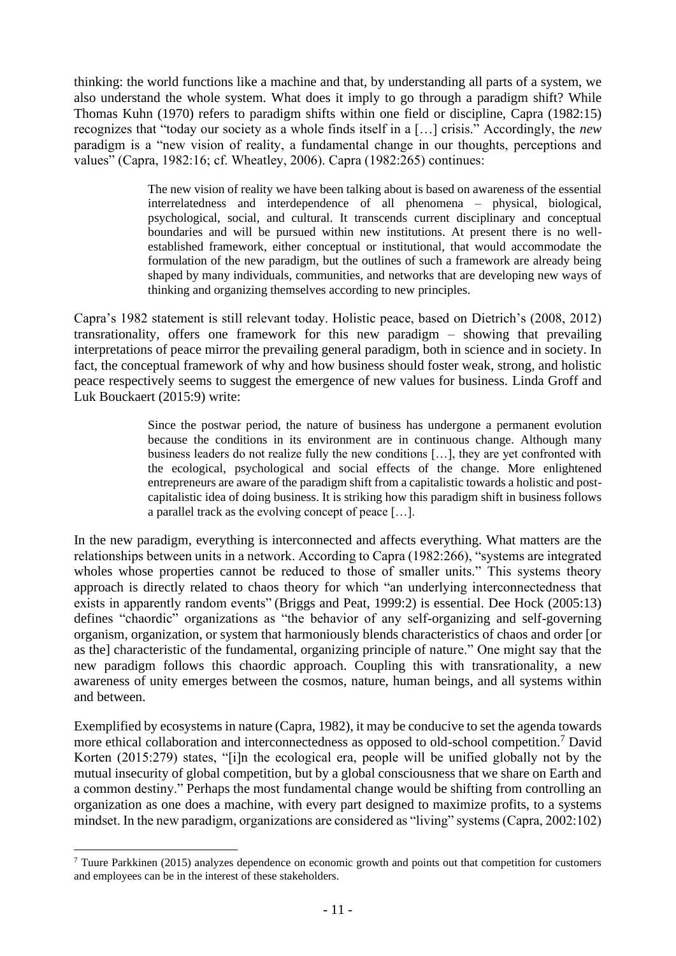thinking: the world functions like a machine and that, by understanding all parts of a system, we also understand the whole system. What does it imply to go through a paradigm shift? While Thomas Kuhn (1970) refers to paradigm shifts within one field or discipline, Capra (1982:15) recognizes that "today our society as a whole finds itself in a […] crisis." Accordingly, the *new* paradigm is a "new vision of reality, a fundamental change in our thoughts, perceptions and values" (Capra, 1982:16; cf. Wheatley, 2006). Capra (1982:265) continues:

> The new vision of reality we have been talking about is based on awareness of the essential interrelatedness and interdependence of all phenomena – physical, biological, psychological, social, and cultural. It transcends current disciplinary and conceptual boundaries and will be pursued within new institutions. At present there is no wellestablished framework, either conceptual or institutional, that would accommodate the formulation of the new paradigm, but the outlines of such a framework are already being shaped by many individuals, communities, and networks that are developing new ways of thinking and organizing themselves according to new principles.

Capra's 1982 statement is still relevant today. Holistic peace, based on Dietrich's (2008, 2012) transrationality, offers one framework for this new paradigm – showing that prevailing interpretations of peace mirror the prevailing general paradigm, both in science and in society. In fact, the conceptual framework of why and how business should foster weak, strong, and holistic peace respectively seems to suggest the emergence of new values for business. Linda Groff and Luk Bouckaert (2015:9) write:

> Since the postwar period, the nature of business has undergone a permanent evolution because the conditions in its environment are in continuous change. Although many business leaders do not realize fully the new conditions […], they are yet confronted with the ecological, psychological and social effects of the change. More enlightened entrepreneurs are aware of the paradigm shift from a capitalistic towards a holistic and postcapitalistic idea of doing business. It is striking how this paradigm shift in business follows a parallel track as the evolving concept of peace […].

In the new paradigm, everything is interconnected and affects everything. What matters are the relationships between units in a network. According to Capra (1982:266), "systems are integrated wholes whose properties cannot be reduced to those of smaller units." This systems theory approach is directly related to chaos theory for which "an underlying interconnectedness that exists in apparently random events" (Briggs and Peat, 1999:2) is essential. Dee Hock (2005:13) defines "chaordic" organizations as "the behavior of any self-organizing and self-governing organism, organization, or system that harmoniously blends characteristics of chaos and order [or as the] characteristic of the fundamental, organizing principle of nature." One might say that the new paradigm follows this chaordic approach. Coupling this with transrationality, a new awareness of unity emerges between the cosmos, nature, human beings, and all systems within and between.

Exemplified by ecosystems in nature (Capra, 1982), it may be conducive to set the agenda towards more ethical collaboration and interconnectedness as opposed to old-school competition.<sup>7</sup> David Korten (2015:279) states, "[i]n the ecological era, people will be unified globally not by the mutual insecurity of global competition, but by a global consciousness that we share on Earth and a common destiny." Perhaps the most fundamental change would be shifting from controlling an organization as one does a machine, with every part designed to maximize profits, to a systems mindset. In the new paradigm, organizations are considered as "living" systems (Capra, 2002:102)

<sup>7</sup> Tuure Parkkinen (2015) analyzes dependence on economic growth and points out that competition for customers and employees can be in the interest of these stakeholders.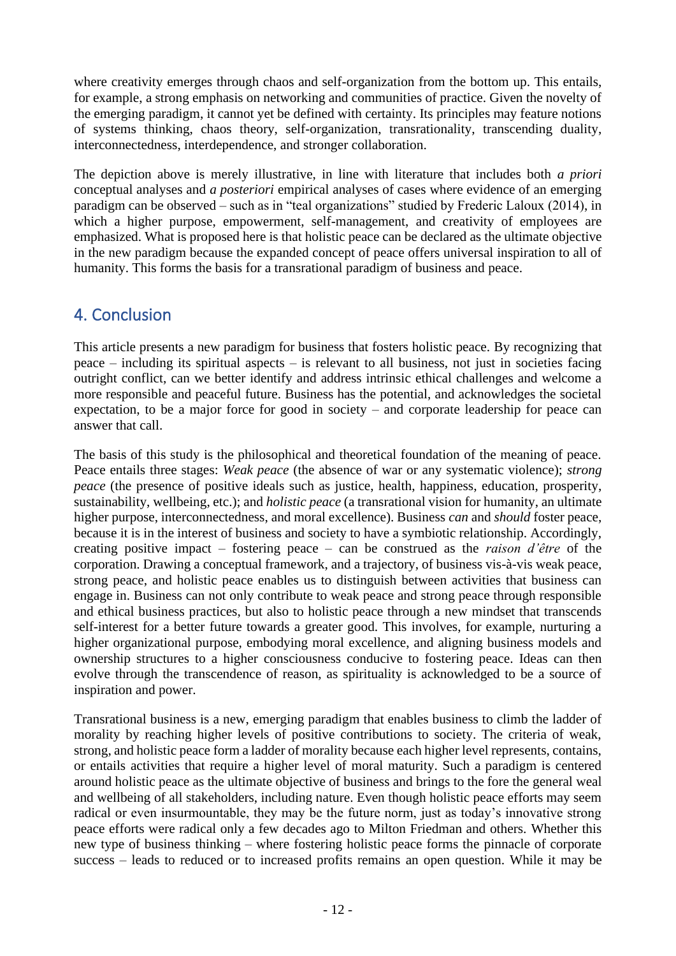where creativity emerges through chaos and self-organization from the bottom up. This entails, for example, a strong emphasis on networking and communities of practice. Given the novelty of the emerging paradigm, it cannot yet be defined with certainty. Its principles may feature notions of systems thinking, chaos theory, self-organization, transrationality, transcending duality, interconnectedness, interdependence, and stronger collaboration.

The depiction above is merely illustrative, in line with literature that includes both *a priori* conceptual analyses and *a posteriori* empirical analyses of cases where evidence of an emerging paradigm can be observed – such as in "teal organizations" studied by Frederic Laloux (2014), in which a higher purpose, empowerment, self-management, and creativity of employees are emphasized. What is proposed here is that holistic peace can be declared as the ultimate objective in the new paradigm because the expanded concept of peace offers universal inspiration to all of humanity. This forms the basis for a transrational paradigm of business and peace.

# 4. Conclusion

This article presents a new paradigm for business that fosters holistic peace. By recognizing that peace – including its spiritual aspects – is relevant to all business, not just in societies facing outright conflict, can we better identify and address intrinsic ethical challenges and welcome a more responsible and peaceful future. Business has the potential, and acknowledges the societal expectation, to be a major force for good in society – and corporate leadership for peace can answer that call.

The basis of this study is the philosophical and theoretical foundation of the meaning of peace. Peace entails three stages: *Weak peace* (the absence of war or any systematic violence); *strong peace* (the presence of positive ideals such as justice, health, happiness, education, prosperity, sustainability, wellbeing, etc.); and *holistic peace* (a transrational vision for humanity, an ultimate higher purpose, interconnectedness, and moral excellence). Business *can* and *should* foster peace, because it is in the interest of business and society to have a symbiotic relationship. Accordingly, creating positive impact – fostering peace – can be construed as the *raison d'être* of the corporation. Drawing a conceptual framework, and a trajectory, of business vis-à-vis weak peace, strong peace, and holistic peace enables us to distinguish between activities that business can engage in. Business can not only contribute to weak peace and strong peace through responsible and ethical business practices, but also to holistic peace through a new mindset that transcends self-interest for a better future towards a greater good. This involves, for example, nurturing a higher organizational purpose, embodying moral excellence, and aligning business models and ownership structures to a higher consciousness conducive to fostering peace. Ideas can then evolve through the transcendence of reason, as spirituality is acknowledged to be a source of inspiration and power.

Transrational business is a new, emerging paradigm that enables business to climb the ladder of morality by reaching higher levels of positive contributions to society. The criteria of weak, strong, and holistic peace form a ladder of morality because each higher level represents, contains, or entails activities that require a higher level of moral maturity. Such a paradigm is centered around holistic peace as the ultimate objective of business and brings to the fore the general weal and wellbeing of all stakeholders, including nature. Even though holistic peace efforts may seem radical or even insurmountable, they may be the future norm, just as today's innovative strong peace efforts were radical only a few decades ago to Milton Friedman and others. Whether this new type of business thinking – where fostering holistic peace forms the pinnacle of corporate success – leads to reduced or to increased profits remains an open question. While it may be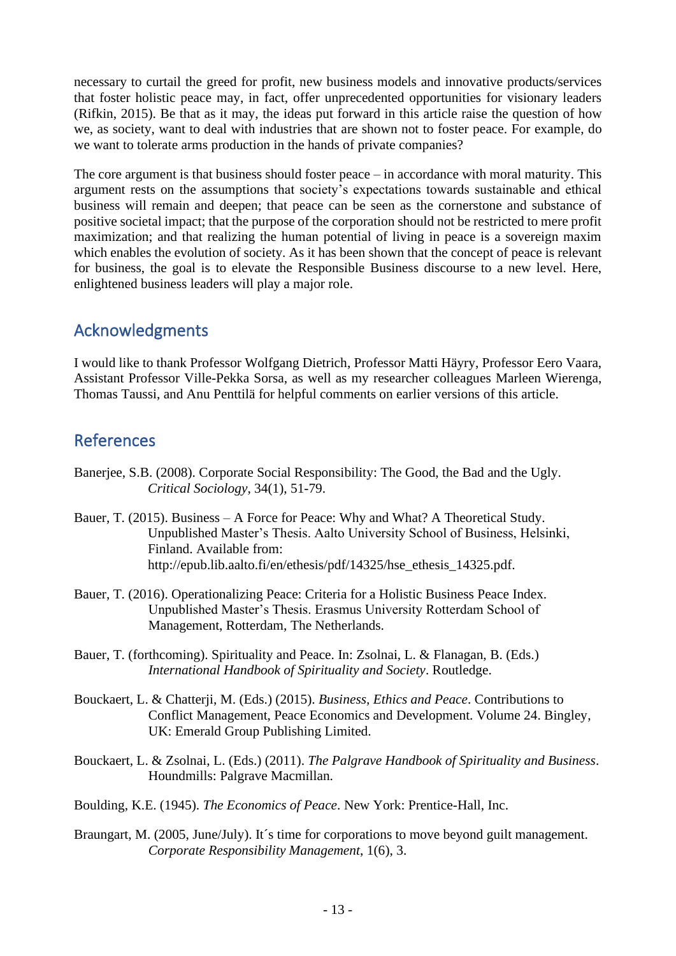necessary to curtail the greed for profit, new business models and innovative products/services that foster holistic peace may, in fact, offer unprecedented opportunities for visionary leaders (Rifkin, 2015). Be that as it may, the ideas put forward in this article raise the question of how we, as society, want to deal with industries that are shown not to foster peace. For example, do we want to tolerate arms production in the hands of private companies?

The core argument is that business should foster peace – in accordance with moral maturity. This argument rests on the assumptions that society's expectations towards sustainable and ethical business will remain and deepen; that peace can be seen as the cornerstone and substance of positive societal impact; that the purpose of the corporation should not be restricted to mere profit maximization; and that realizing the human potential of living in peace is a sovereign maxim which enables the evolution of society. As it has been shown that the concept of peace is relevant for business, the goal is to elevate the Responsible Business discourse to a new level. Here, enlightened business leaders will play a major role.

# Acknowledgments

I would like to thank Professor Wolfgang Dietrich, Professor Matti Häyry, Professor Eero Vaara, Assistant Professor Ville-Pekka Sorsa, as well as my researcher colleagues Marleen Wierenga, Thomas Taussi, and Anu Penttilä for helpful comments on earlier versions of this article.

# **References**

- Banerjee, S.B. (2008). Corporate Social Responsibility: The Good, the Bad and the Ugly. *Critical Sociology*, 34(1), 51-79.
- Bauer, T. (2015). Business A Force for Peace: Why and What? A Theoretical Study. Unpublished Master's Thesis. Aalto University School of Business, Helsinki, Finland. Available from: http://epub.lib.aalto.fi/en/ethesis/pdf/14325/hse\_ethesis\_14325.pdf.
- Bauer, T. (2016). Operationalizing Peace: Criteria for a Holistic Business Peace Index. Unpublished Master's Thesis. Erasmus University Rotterdam School of Management, Rotterdam, The Netherlands.
- Bauer, T. (forthcoming). Spirituality and Peace. In: Zsolnai, L. & Flanagan, B. (Eds.) *International Handbook of Spirituality and Society*. Routledge.
- Bouckaert, L. & Chatterji, M. (Eds.) (2015). *Business, Ethics and Peace*. Contributions to Conflict Management, Peace Economics and Development. Volume 24. Bingley, UK: Emerald Group Publishing Limited.
- Bouckaert, L. & Zsolnai, L. (Eds.) (2011). *The Palgrave Handbook of Spirituality and Business*. Houndmills: Palgrave Macmillan.
- Boulding, K.E. (1945). *The Economics of Peace*. New York: Prentice-Hall, Inc.
- Braungart, M. (2005, June/July). It's time for corporations to move beyond guilt management. *Corporate Responsibility Management*, 1(6), 3.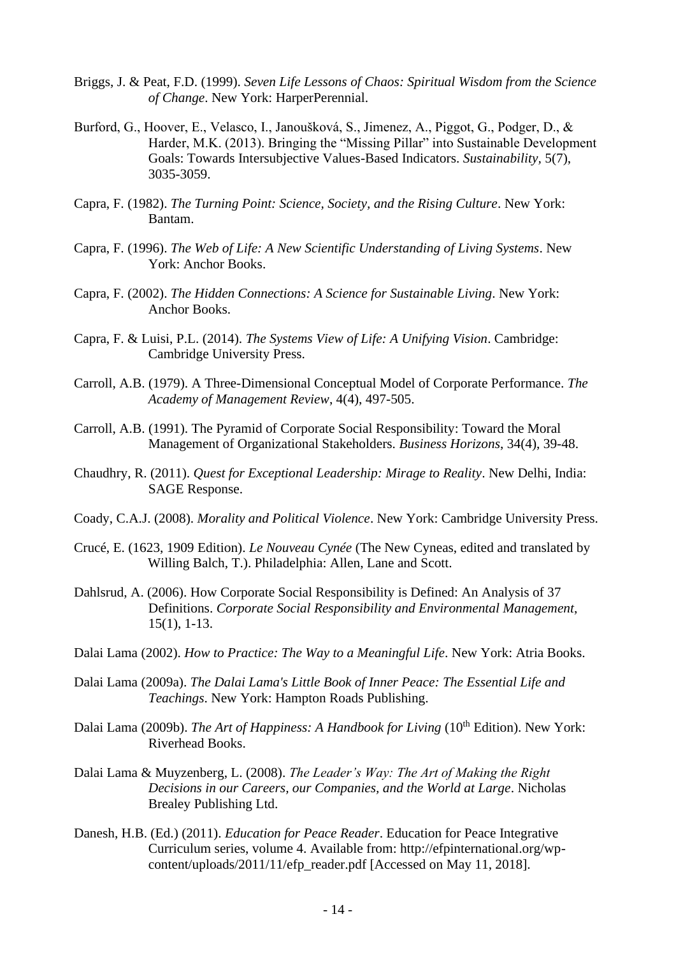- Briggs, J. & Peat, F.D. (1999). *Seven Life Lessons of Chaos: Spiritual Wisdom from the Science of Change*. New York: HarperPerennial.
- Burford, G., Hoover, E., Velasco, I., Janoušková, S., Jimenez, A., Piggot, G., Podger, D., & Harder, M.K. (2013). Bringing the "Missing Pillar" into Sustainable Development Goals: Towards Intersubjective Values-Based Indicators. *Sustainability,* 5(7), 3035-3059.
- Capra, F. (1982). *The Turning Point: Science, Society, and the Rising Culture*. New York: Bantam.
- Capra, F. (1996). *The Web of Life: A New Scientific Understanding of Living Systems*. New York: Anchor Books.
- Capra, F. (2002). *The Hidden Connections: A Science for Sustainable Living*. New York: Anchor Books.
- Capra, F. & Luisi, P.L. (2014). *The Systems View of Life: A Unifying Vision*. Cambridge: Cambridge University Press.
- Carroll, A.B. (1979). A Three-Dimensional Conceptual Model of Corporate Performance. *The Academy of Management Review*, 4(4), 497-505.
- Carroll, A.B. (1991). The Pyramid of Corporate Social Responsibility: Toward the Moral Management of Organizational Stakeholders. *Business Horizons*, 34(4), 39-48.
- Chaudhry, R. (2011). *Quest for Exceptional Leadership: Mirage to Reality*. New Delhi, India: SAGE Response.
- Coady, C.A.J. (2008). *Morality and Political Violence*. New York: Cambridge University Press.
- Crucé, E. (1623, 1909 Edition). *Le Nouveau Cynée* (The New Cyneas, edited and translated by Willing Balch, T.). Philadelphia: Allen, Lane and Scott.
- Dahlsrud, A. (2006). How Corporate Social Responsibility is Defined: An Analysis of 37 Definitions. *Corporate Social Responsibility and Environmental Management*, 15(1), 1-13.
- Dalai Lama (2002). *How to Practice: The Way to a Meaningful Life*. New York: Atria Books.
- Dalai Lama (2009a). *The Dalai Lama's Little Book of Inner Peace: The Essential Life and Teachings*. New York: Hampton Roads Publishing.
- Dalai Lama (2009b). *The Art of Happiness: A Handbook for Living* (10<sup>th</sup> Edition). New York: Riverhead Books.
- Dalai Lama & Muyzenberg, L. (2008). *The Leader's Way: The Art of Making the Right Decisions in our Careers, our Companies, and the World at Large*. Nicholas Brealey Publishing Ltd.
- Danesh, H.B. (Ed.) (2011). *Education for Peace Reader*. Education for Peace Integrative Curriculum series, volume 4. Available from: http://efpinternational.org/wpcontent/uploads/2011/11/efp\_reader.pdf [Accessed on May 11, 2018].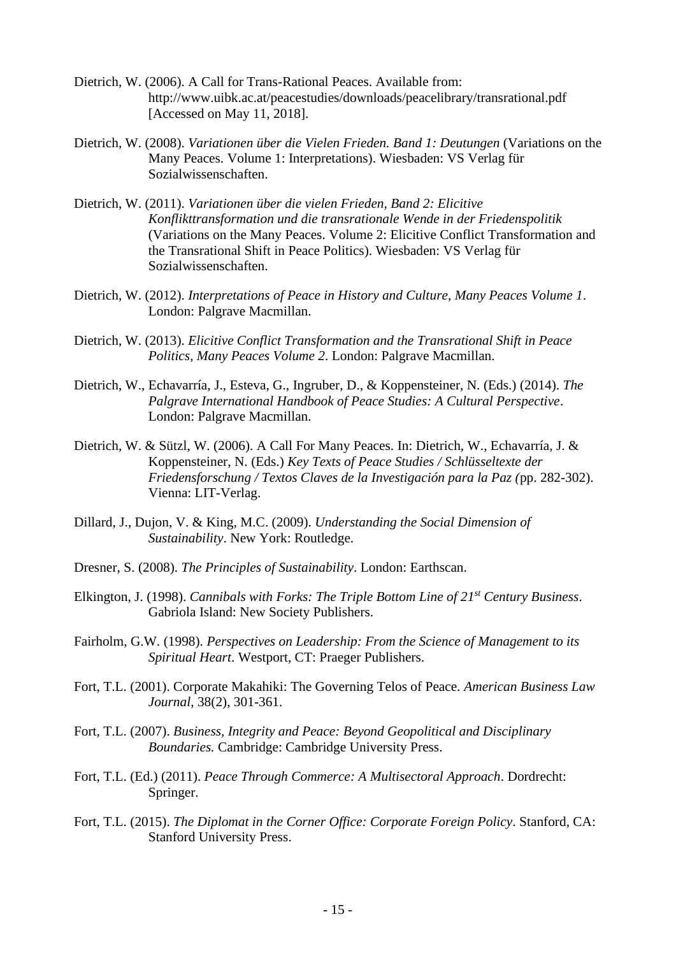- Dietrich, W. (2006). A Call for Trans-Rational Peaces. Available from: http://www.uibk.ac.at/peacestudies/downloads/peacelibrary/transrational.pdf [Accessed on May 11, 2018].
- Dietrich, W. (2008). *Variationen über die Vielen Frieden. Band 1: Deutungen* (Variations on the Many Peaces. Volume 1: Interpretations). Wiesbaden: VS Verlag für Sozialwissenschaften.
- Dietrich, W. (2011). *Variationen über die vielen Frieden, Band 2: Elicitive Konflikttransformation und die transrationale Wende in der Friedenspolitik*  (Variations on the Many Peaces. Volume 2: Elicitive Conflict Transformation and the Transrational Shift in Peace Politics). Wiesbaden: VS Verlag für Sozialwissenschaften.
- Dietrich, W. (2012). *Interpretations of Peace in History and Culture, Many Peaces Volume 1*. London: Palgrave Macmillan.
- Dietrich, W. (2013). *Elicitive Conflict Transformation and the Transrational Shift in Peace Politics, Many Peaces Volume 2*. London: Palgrave Macmillan.
- Dietrich, W., Echavarría, J., Esteva, G., Ingruber, D., & Koppensteiner, N. (Eds.) (2014). *The Palgrave International Handbook of Peace Studies: A Cultural Perspective*. London: Palgrave Macmillan.
- Dietrich, W. & Sützl, W. (2006). A Call For Many Peaces. In: Dietrich, W., Echavarría, J. & Koppensteiner, N. (Eds.) *Key Texts of Peace Studies / Schlüsseltexte der Friedensforschung / Textos Claves de la Investigación para la Paz (*pp. 282-302). Vienna: LIT-Verlag.
- Dillard, J., Dujon, V. & King, M.C. (2009). *Understanding the Social Dimension of Sustainability*. New York: Routledge.
- Dresner, S. (2008). *The Principles of Sustainability*. London: Earthscan.
- Elkington, J. (1998). *Cannibals with Forks: The Triple Bottom Line of 21st Century Business*. Gabriola Island: New Society Publishers.
- Fairholm, G.W. (1998). *Perspectives on Leadership: From the Science of Management to its Spiritual Heart*. Westport, CT: Praeger Publishers.
- Fort, T.L. (2001). Corporate Makahiki: The Governing Telos of Peace. *American Business Law Journal*, 38(2), 301-361.
- Fort, T.L. (2007). *Business, Integrity and Peace: Beyond Geopolitical and Disciplinary Boundaries.* Cambridge: Cambridge University Press.
- Fort, T.L. (Ed.) (2011). *Peace Through Commerce: A Multisectoral Approach*. Dordrecht: Springer.
- Fort, T.L. (2015). *The Diplomat in the Corner Office: Corporate Foreign Policy*. Stanford, CA: Stanford University Press.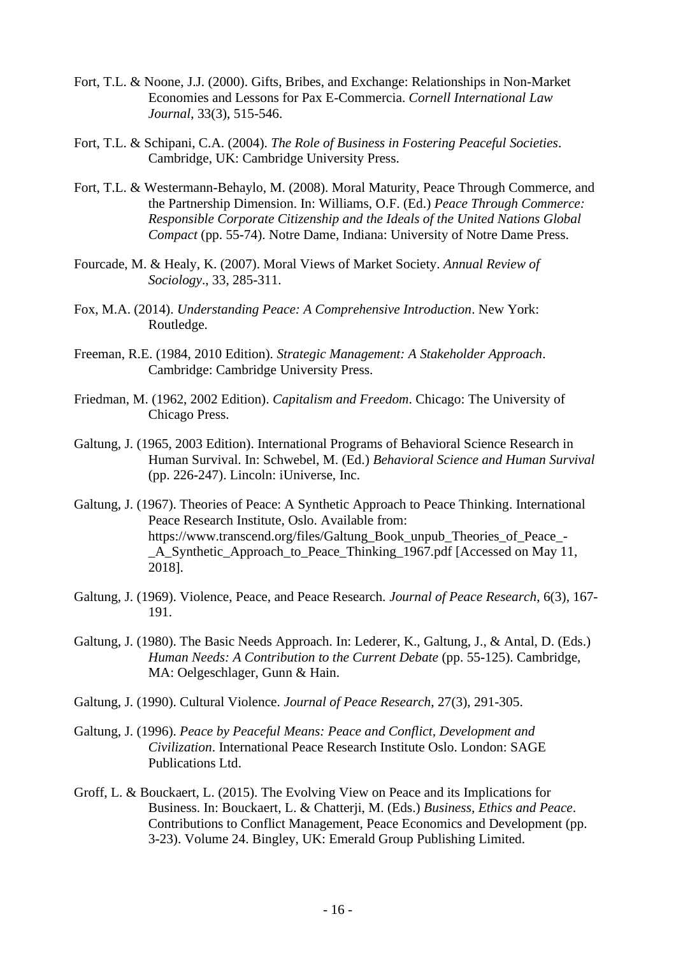- Fort, T.L. & Noone, J.J. (2000). Gifts, Bribes, and Exchange: Relationships in Non-Market Economies and Lessons for Pax E-Commercia. *Cornell International Law Journal*, 33(3), 515-546.
- Fort, T.L. & Schipani, C.A. (2004). *The Role of Business in Fostering Peaceful Societies*. Cambridge, UK: Cambridge University Press.
- Fort, T.L. & Westermann-Behaylo, M. (2008). Moral Maturity, Peace Through Commerce, and the Partnership Dimension. In: Williams, O.F. (Ed.) *Peace Through Commerce: Responsible Corporate Citizenship and the Ideals of the United Nations Global Compact* (pp. 55-74). Notre Dame, Indiana: University of Notre Dame Press.
- Fourcade, M. & Healy, K. (2007). Moral Views of Market Society. *Annual Review of Sociology*., 33, 285-311.
- Fox, M.A. (2014). *Understanding Peace: A Comprehensive Introduction*. New York: Routledge.
- Freeman, R.E. (1984, 2010 Edition). *Strategic Management: A Stakeholder Approach*. Cambridge: Cambridge University Press.
- Friedman, M. (1962, 2002 Edition). *Capitalism and Freedom*. Chicago: The University of Chicago Press.
- Galtung, J. (1965, 2003 Edition). International Programs of Behavioral Science Research in Human Survival. In: Schwebel, M. (Ed.) *Behavioral Science and Human Survival* (pp. 226-247). Lincoln: iUniverse, Inc.
- Galtung, J. (1967). Theories of Peace: A Synthetic Approach to Peace Thinking. International Peace Research Institute, Oslo. Available from: https://www.transcend.org/files/Galtung\_Book\_unpub\_Theories\_of\_Peace\_- A Synthetic Approach to Peace Thinking 1967.pdf [Accessed on May 11, 2018].
- Galtung, J. (1969). Violence, Peace, and Peace Research. *Journal of Peace Research*, 6(3), 167- 191.
- Galtung, J. (1980). The Basic Needs Approach. In: Lederer, K., Galtung, J., & Antal, D. (Eds.) *Human Needs: A Contribution to the Current Debate* (pp. 55-125). Cambridge, MA: Oelgeschlager, Gunn & Hain.
- Galtung, J. (1990). Cultural Violence. *Journal of Peace Research*, 27(3), 291-305.
- Galtung, J. (1996). *Peace by Peaceful Means: Peace and Conflict, Development and Civilization*. International Peace Research Institute Oslo. London: SAGE Publications Ltd.
- Groff, L. & Bouckaert, L. (2015). The Evolving View on Peace and its Implications for Business. In: Bouckaert, L. & Chatterji, M. (Eds.) *Business, Ethics and Peace*. Contributions to Conflict Management, Peace Economics and Development (pp. 3-23). Volume 24. Bingley, UK: Emerald Group Publishing Limited.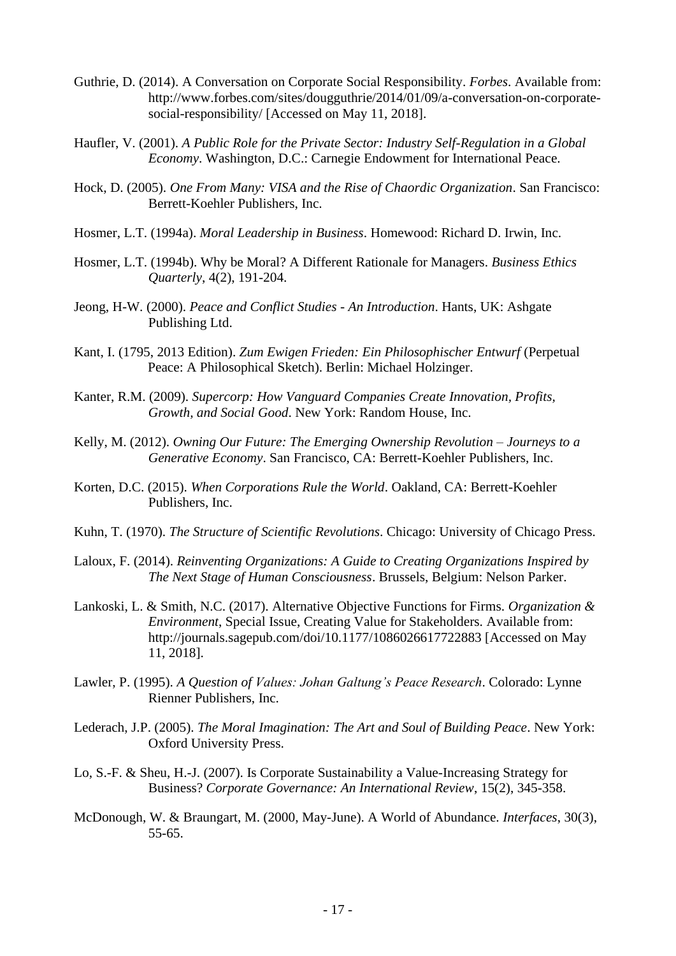- Guthrie, D. (2014). A Conversation on Corporate Social Responsibility. *Forbes*. Available from: http://www.forbes.com/sites/dougguthrie/2014/01/09/a-conversation-on-corporatesocial-responsibility/ [Accessed on May 11, 2018].
- Haufler, V. (2001). *A Public Role for the Private Sector: Industry Self-Regulation in a Global Economy*. Washington, D.C.: Carnegie Endowment for International Peace.
- Hock, D. (2005). *One From Many: VISA and the Rise of Chaordic Organization*. San Francisco: Berrett-Koehler Publishers, Inc.
- Hosmer, L.T. (1994a). *Moral Leadership in Business*. Homewood: Richard D. Irwin, Inc.
- Hosmer, L.T. (1994b). Why be Moral? A Different Rationale for Managers. *Business Ethics Quarterly*, 4(2), 191-204.
- Jeong, H-W. (2000). *Peace and Conflict Studies - An Introduction*. Hants, UK: Ashgate Publishing Ltd.
- Kant, I. (1795, 2013 Edition). *Zum Ewigen Frieden: Ein Philosophischer Entwurf* (Perpetual Peace: A Philosophical Sketch). Berlin: Michael Holzinger.
- Kanter, R.M. (2009). *Supercorp: How Vanguard Companies Create Innovation, Profits, Growth, and Social Good*. New York: Random House, Inc.
- Kelly, M. (2012). *Owning Our Future: The Emerging Ownership Revolution – Journeys to a Generative Economy*. San Francisco, CA: Berrett-Koehler Publishers, Inc.
- Korten, D.C. (2015). *When Corporations Rule the World*. Oakland, CA: Berrett-Koehler Publishers, Inc.
- Kuhn, T. (1970). *The Structure of Scientific Revolutions*. Chicago: University of Chicago Press.
- Laloux, F. (2014). *Reinventing Organizations: A Guide to Creating Organizations Inspired by The Next Stage of Human Consciousness*. Brussels, Belgium: Nelson Parker.
- Lankoski, L. & Smith, N.C. (2017). Alternative Objective Functions for Firms. *Organization & Environment*, Special Issue, Creating Value for Stakeholders. Available from: http://journals.sagepub.com/doi/10.1177/1086026617722883 [Accessed on May 11, 2018].
- Lawler, P. (1995). *A Question of Values: Johan Galtung's Peace Research*. Colorado: Lynne Rienner Publishers, Inc.
- Lederach, J.P. (2005). *The Moral Imagination: The Art and Soul of Building Peace*. New York: Oxford University Press.
- Lo, S.-F. & Sheu, H.-J. (2007). Is Corporate Sustainability a Value-Increasing Strategy for Business? *Corporate Governance: An International Review*, 15(2), 345-358.
- McDonough, W. & Braungart, M. (2000, May-June). A World of Abundance. *Interfaces*, 30(3), 55-65.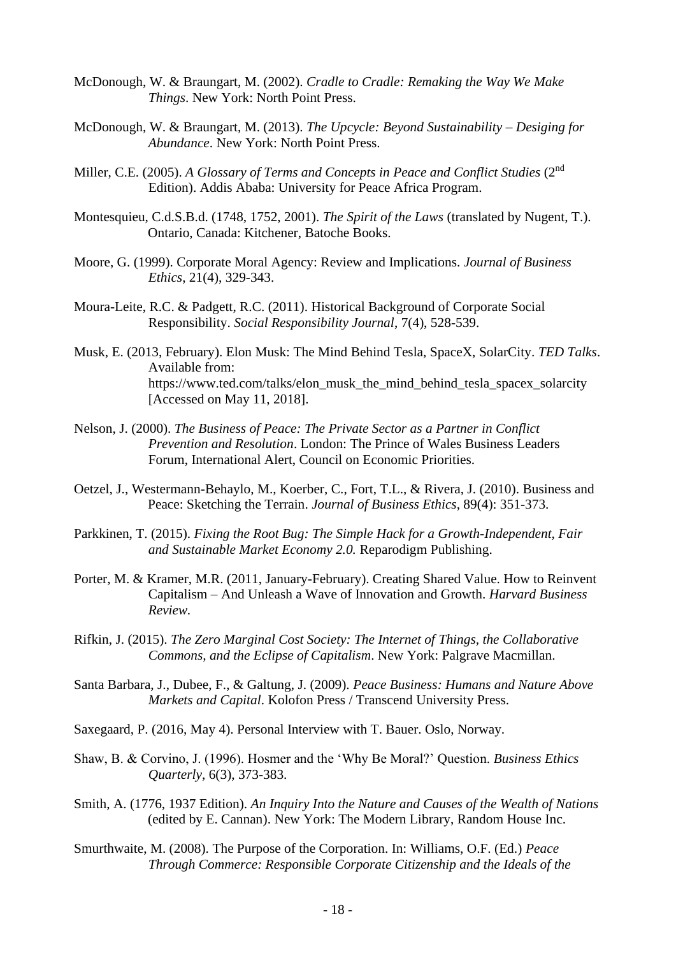- McDonough, W. & Braungart, M. (2002). *Cradle to Cradle: Remaking the Way We Make Things*. New York: North Point Press.
- McDonough, W. & Braungart, M. (2013). *The Upcycle: Beyond Sustainability – Desiging for Abundance*. New York: North Point Press.
- Miller, C.E. (2005). A Glossary of Terms and Concepts in Peace and Conflict Studies (2<sup>nd</sup> Edition). Addis Ababa: University for Peace Africa Program.
- Montesquieu, C.d.S.B.d. (1748, 1752, 2001). *The Spirit of the Laws* (translated by Nugent, T.). Ontario, Canada: Kitchener, Batoche Books.
- Moore, G. (1999). Corporate Moral Agency: Review and Implications. *Journal of Business Ethics*, 21(4), 329-343.
- Moura-Leite, R.C. & Padgett, R.C. (2011). Historical Background of Corporate Social Responsibility. *Social Responsibility Journal*, 7(4), 528-539.
- Musk, E. (2013, February). Elon Musk: The Mind Behind Tesla, SpaceX, SolarCity. *TED Talks*. Available from: https://www.ted.com/talks/elon\_musk\_the\_mind\_behind\_tesla\_spacex\_solarcity [Accessed on May 11, 2018].
- Nelson, J. (2000). *The Business of Peace: The Private Sector as a Partner in Conflict Prevention and Resolution*. London: The Prince of Wales Business Leaders Forum, International Alert, Council on Economic Priorities.
- Oetzel, J., Westermann-Behaylo, M., Koerber, C., Fort, T.L., & Rivera, J. (2010). Business and Peace: Sketching the Terrain. *Journal of Business Ethics*, 89(4): 351-373.
- Parkkinen, T. (2015). *Fixing the Root Bug: The Simple Hack for a Growth-Independent, Fair and Sustainable Market Economy 2.0.* Reparodigm Publishing.
- Porter, M. & Kramer, M.R. (2011, January-February). Creating Shared Value. How to Reinvent Capitalism – And Unleash a Wave of Innovation and Growth. *Harvard Business Review.*
- Rifkin, J. (2015). *The Zero Marginal Cost Society: The Internet of Things, the Collaborative Commons, and the Eclipse of Capitalism*. New York: Palgrave Macmillan.
- Santa Barbara, J., Dubee, F., & Galtung, J. (2009). *Peace Business: Humans and Nature Above Markets and Capital*. Kolofon Press / Transcend University Press.
- Saxegaard, P. (2016, May 4). Personal Interview with T. Bauer. Oslo, Norway.
- Shaw, B. & Corvino, J. (1996). Hosmer and the 'Why Be Moral?' Question. *Business Ethics Quarterly*, 6(3), 373-383.
- Smith, A. (1776, 1937 Edition). *An Inquiry Into the Nature and Causes of the Wealth of Nations* (edited by E. Cannan). New York: The Modern Library, Random House Inc.
- Smurthwaite, M. (2008). The Purpose of the Corporation. In: Williams, O.F. (Ed.) *Peace Through Commerce: Responsible Corporate Citizenship and the Ideals of the*